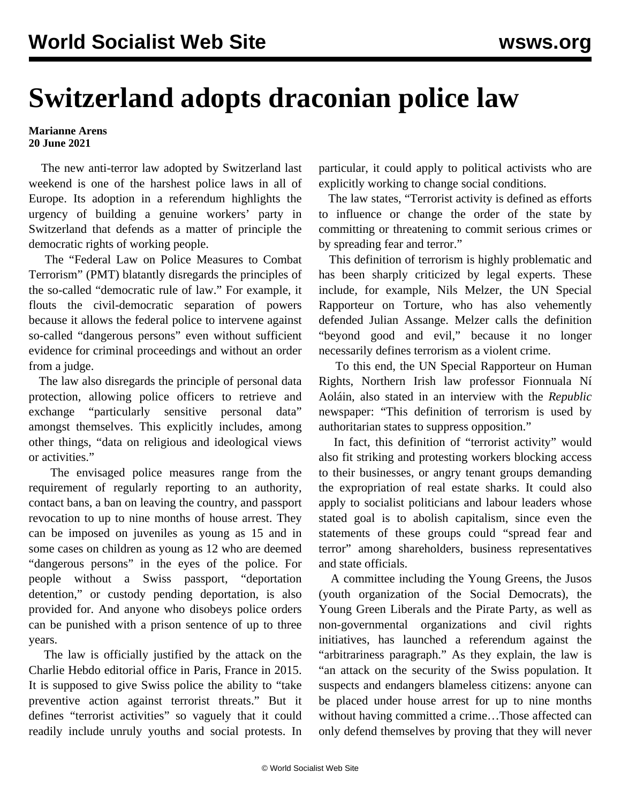## **Switzerland adopts draconian police law**

## **Marianne Arens 20 June 2021**

 The new anti-terror law adopted by Switzerland last weekend is one of the harshest police laws in all of Europe. Its adoption in a referendum highlights the urgency of building a genuine workers' party in Switzerland that defends as a matter of principle the democratic rights of working people.

 The "Federal Law on Police Measures to Combat Terrorism" (PMT) blatantly disregards the principles of the so-called "democratic rule of law." For example, it flouts the civil-democratic separation of powers because it allows the federal police to intervene against so-called "dangerous persons" even without sufficient evidence for criminal proceedings and without an order from a judge.

 The law also disregards the principle of personal data protection, allowing police officers to retrieve and exchange "particularly sensitive personal data" amongst themselves. This explicitly includes, among other things, "data on religious and ideological views or activities."

 The envisaged police measures range from the requirement of regularly reporting to an authority, contact bans, a ban on leaving the country, and passport revocation to up to nine months of house arrest. They can be imposed on juveniles as young as 15 and in some cases on children as young as 12 who are deemed "dangerous persons" in the eyes of the police. For people without a Swiss passport, "deportation detention," or custody pending deportation, is also provided for. And anyone who disobeys police orders can be punished with a prison sentence of up to three years.

 The law is officially justified by the attack on the Charlie Hebdo editorial office in Paris, France in 2015. It is supposed to give Swiss police the ability to "take preventive action against terrorist threats." But it defines "terrorist activities" so vaguely that it could readily include unruly youths and social protests. In

particular, it could apply to political activists who are explicitly working to change social conditions.

 The law states, "Terrorist activity is defined as efforts to influence or change the order of the state by committing or threatening to commit serious crimes or by spreading fear and terror."

 This definition of terrorism is highly problematic and has been sharply criticized by legal experts. These include, for example, Nils Melzer, the UN Special Rapporteur on Torture, who has also vehemently defended Julian Assange. Melzer calls the definition "beyond good and evil," because it no longer necessarily defines terrorism as a violent crime.

 To this end, the UN Special Rapporteur on Human Rights, Northern Irish law professor Fionnuala Ní Aoláin, also stated in an interview with the *Republic* newspaper: "This definition of terrorism is used by authoritarian states to suppress opposition."

 In fact, this definition of "terrorist activity" would also fit striking and protesting workers blocking access to their businesses, or angry tenant groups demanding the expropriation of real estate sharks. It could also apply to socialist politicians and labour leaders whose stated goal is to abolish capitalism, since even the statements of these groups could "spread fear and terror" among shareholders, business representatives and state officials.

 A committee including the Young Greens, the Jusos (youth organization of the Social Democrats), the Young Green Liberals and the Pirate Party, as well as non-governmental organizations and civil rights initiatives, has launched a referendum against the "arbitrariness paragraph." As they explain, the law is "an attack on the security of the Swiss population. It suspects and endangers blameless citizens: anyone can be placed under house arrest for up to nine months without having committed a crime…Those affected can only defend themselves by proving that they will never